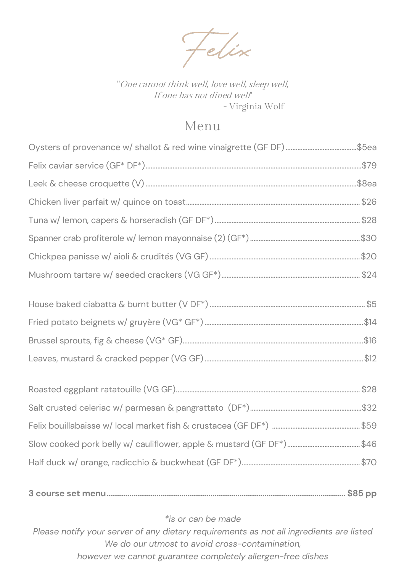Felix

"One cannot think well, love well, sleep well, If one has not dined well' - Virginia Wolf

## Menu

\*is or can be made

Please notify your server of any dietary requirements as not all ingredients are listed We do our utmost to avoid cross-contamination, however we cannot guarantee completely allergen-free dishes